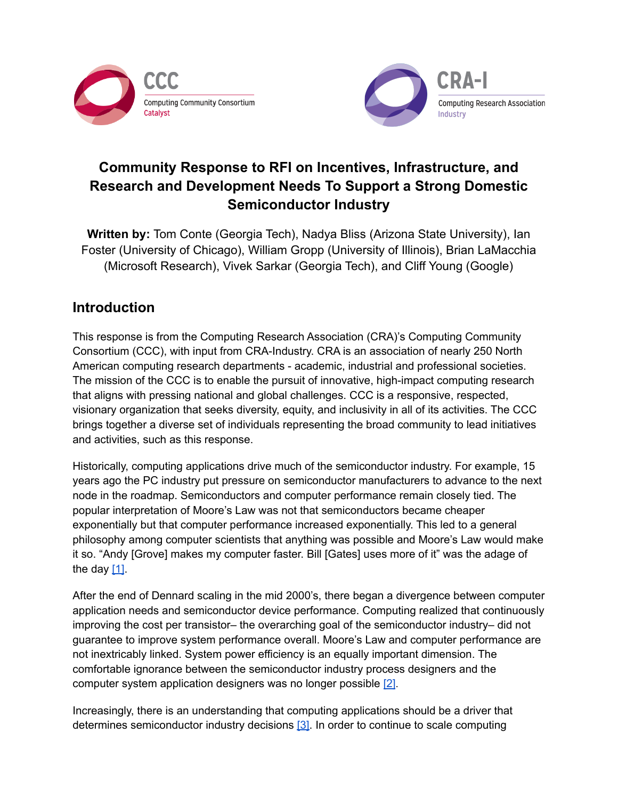



# **Community Response to RFI on Incentives, Infrastructure, and Research and Development Needs To Support a Strong Domestic Semiconductor Industry**

**Written by:** Tom Conte (Georgia Tech), Nadya Bliss (Arizona State University), Ian Foster (University of Chicago), William Gropp (University of Illinois), Brian LaMacchia (Microsoft Research), Vivek Sarkar (Georgia Tech), and Cliff Young (Google)

## **Introduction**

This response is from the Computing Research Association (CRA)'s Computing Community Consortium (CCC), with input from CRA-Industry. CRA is an association of nearly 250 North American computing research departments - academic, industrial and professional societies. The mission of the CCC is to enable the pursuit of innovative, high-impact computing research that aligns with pressing national and global challenges. CCC is a responsive, respected, visionary organization that seeks diversity, equity, and inclusivity in all of its activities. The CCC brings together a diverse set of individuals representing the broad community to lead initiatives and activities, such as this response.

Historically, computing applications drive much of the semiconductor industry. For example, 15 years ago the PC industry put pressure on semiconductor manufacturers to advance to the next node in the roadmap. Semiconductors and computer performance remain closely tied. The popular interpretation of Moore's Law was not that semiconductors became cheaper exponentially but that computer performance increased exponentially. This led to a general philosophy among computer scientists that anything was possible and Moore's Law would make it so. "Andy [Grove] makes my computer faster. Bill [Gates] uses more of it" was the adage of the day  $[1]$ .

After the end of Dennard scaling in the mid 2000's, there began a divergence between computer application needs and semiconductor device performance. Computing realized that continuously improving the cost per transistor– the overarching goal of the semiconductor industry– did not guarantee to improve system performance overall. Moore's Law and computer performance are not inextricably linked. System power efficiency is an equally important dimension. The comfortable ignorance between the semiconductor industry process designers and the computer system application designers was no longer possible [\[2\]](https://ieeexplore.ieee.org/abstract/document/7807179).

Increasingly, there is an understanding that computing applications should be a driver that determines semiconductor industry decisions  $[3]$ . In order to continue to scale computing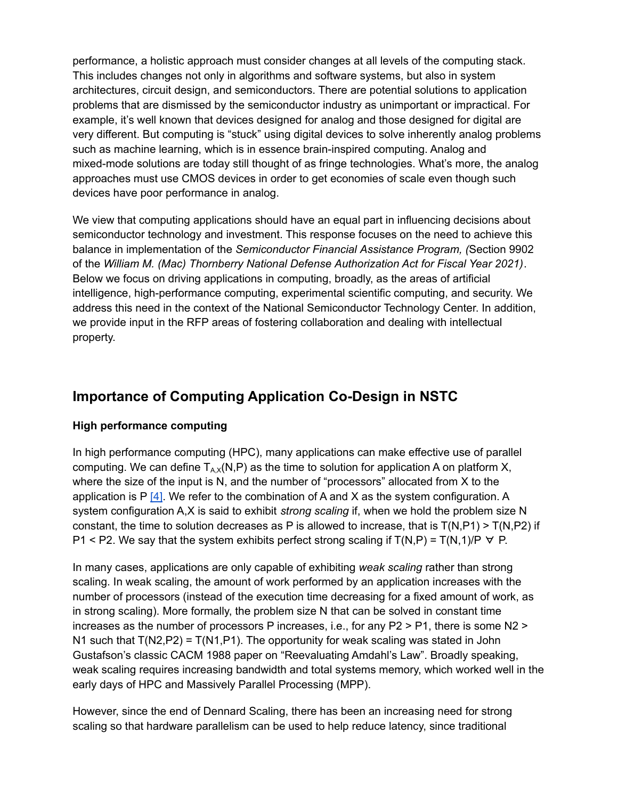performance, a holistic approach must consider changes at all levels of the computing stack. This includes changes not only in algorithms and software systems, but also in system architectures, circuit design, and semiconductors. There are potential solutions to application problems that are dismissed by the semiconductor industry as unimportant or impractical. For example, it's well known that devices designed for analog and those designed for digital are very different. But computing is "stuck" using digital devices to solve inherently analog problems such as machine learning, which is in essence brain-inspired computing. Analog and mixed-mode solutions are today still thought of as fringe technologies. What's more, the analog approaches must use CMOS devices in order to get economies of scale even though such devices have poor performance in analog.

We view that computing applications should have an equal part in influencing decisions about semiconductor technology and investment. This response focuses on the need to achieve this balance in implementation of the *Semiconductor Financial Assistance Program, (*Section 9902 of the *William M. (Mac) Thornberry National Defense Authorization Act for Fiscal Year 2021)*. Below we focus on driving applications in computing, broadly, as the areas of artificial intelligence, high-performance computing, experimental scientific computing, and security. We address this need in the context of the National Semiconductor Technology Center. In addition, we provide input in the RFP areas of fostering collaboration and dealing with intellectual property.

## **Importance of Computing Application Co-Design in NSTC**

#### **High performance computing**

In high performance computing (HPC), many applications can make effective use of parallel computing. We can define  $T_{AX}(N,P)$  as the time to solution for application A on platform X, where the size of the input is N, and the number of "processors" allocated from X to the application is P  $[4]$ . We refer to the combination of A and X as the system configuration. A system configuration A,X is said to exhibit *strong scaling* if, when we hold the problem size N constant, the time to solution decreases as P is allowed to increase, that is  $T(N, P1)$  >  $T(N, P2)$  if P1 < P2. We say that the system exhibits perfect strong scaling if  $T(N,P) = T(N,1)/P \nabla P$ .

In many cases, applications are only capable of exhibiting *weak scaling* rather than strong scaling. In weak scaling, the amount of work performed by an application increases with the number of processors (instead of the execution time decreasing for a fixed amount of work, as in strong scaling). More formally, the problem size N that can be solved in constant time increases as the number of processors P increases, i.e., for any P2 > P1, there is some N2 > N1 such that  $T(N2,P2) = T(N1,P1)$ . The opportunity for weak scaling was stated in John Gustafson's classic CACM 1988 paper on "Reevaluating Amdahl's Law". Broadly speaking, weak scaling requires increasing bandwidth and total systems memory, which worked well in the early days of HPC and Massively Parallel Processing (MPP).

However, since the end of Dennard Scaling, there has been an increasing need for strong scaling so that hardware parallelism can be used to help reduce latency, since traditional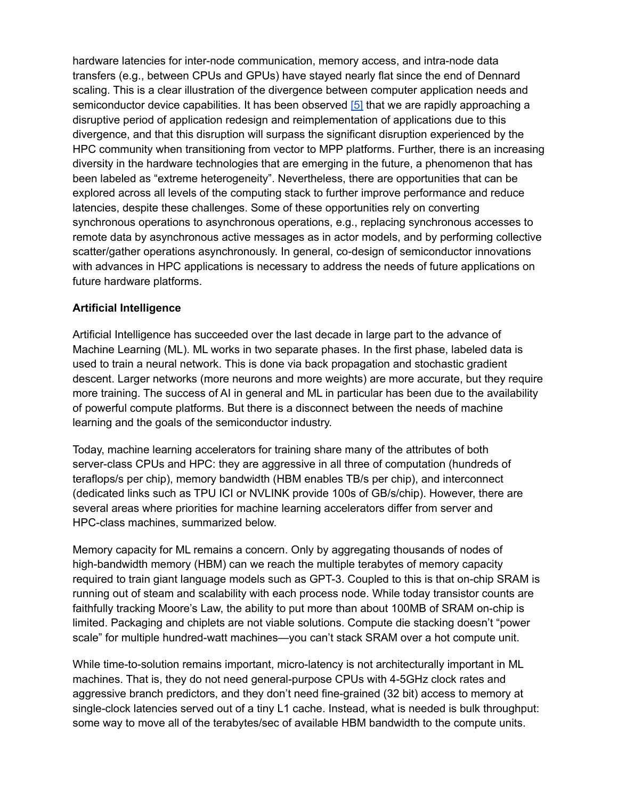hardware latencies for inter-node communication, memory access, and intra-node data transfers (e.g., between CPUs and GPUs) have stayed nearly flat since the end of Dennard scaling. This is a clear illustration of the divergence between computer application needs and semiconductor device capabilities. It has been observed [\[5\]](https://science.osti.gov/-/media/ascr/ascac/pdf/meetings/201903/Future_High_Performance_Computing_Capabilities_ASCAC_20903.pdf?la=en&hash=629548777233D4B8043E0C07706DA519101367E3) that we are rapidly approaching a disruptive period of application redesign and reimplementation of applications due to this divergence, and that this disruption will surpass the significant disruption experienced by the HPC community when transitioning from vector to MPP platforms. Further, there is an increasing diversity in the hardware technologies that are emerging in the future, a phenomenon that has been labeled as "extreme heterogeneity". Nevertheless, there are opportunities that can be explored across all levels of the computing stack to further improve performance and reduce latencies, despite these challenges. Some of these opportunities rely on converting synchronous operations to asynchronous operations, e.g., replacing synchronous accesses to remote data by asynchronous active messages as in actor models, and by performing collective scatter/gather operations asynchronously. In general, co-design of semiconductor innovations with advances in HPC applications is necessary to address the needs of future applications on future hardware platforms.

#### **Artificial Intelligence**

Artificial Intelligence has succeeded over the last decade in large part to the advance of Machine Learning (ML). ML works in two separate phases. In the first phase, labeled data is used to train a neural network. This is done via back propagation and stochastic gradient descent. Larger networks (more neurons and more weights) are more accurate, but they require more training. The success of AI in general and ML in particular has been due to the availability of powerful compute platforms. But there is a disconnect between the needs of machine learning and the goals of the semiconductor industry.

Today, machine learning accelerators for training share many of the attributes of both server-class CPUs and HPC: they are aggressive in all three of computation (hundreds of teraflops/s per chip), memory bandwidth (HBM enables TB/s per chip), and interconnect (dedicated links such as TPU ICI or NVLINK provide 100s of GB/s/chip). However, there are several areas where priorities for machine learning accelerators differ from server and HPC-class machines, summarized below.

Memory capacity for ML remains a concern. Only by aggregating thousands of nodes of high-bandwidth memory (HBM) can we reach the multiple terabytes of memory capacity required to train giant language models such as GPT-3. Coupled to this is that on-chip SRAM is running out of steam and scalability with each process node. While today transistor counts are faithfully tracking Moore's Law, the ability to put more than about 100MB of SRAM on-chip is limited. Packaging and chiplets are not viable solutions. Compute die stacking doesn't "power scale" for multiple hundred-watt machines—you can't stack SRAM over a hot compute unit.

While time-to-solution remains important, micro-latency is not architecturally important in ML machines. That is, they do not need general-purpose CPUs with 4-5GHz clock rates and aggressive branch predictors, and they don't need fine-grained (32 bit) access to memory at single-clock latencies served out of a tiny L1 cache. Instead, what is needed is bulk throughput: some way to move all of the terabytes/sec of available HBM bandwidth to the compute units.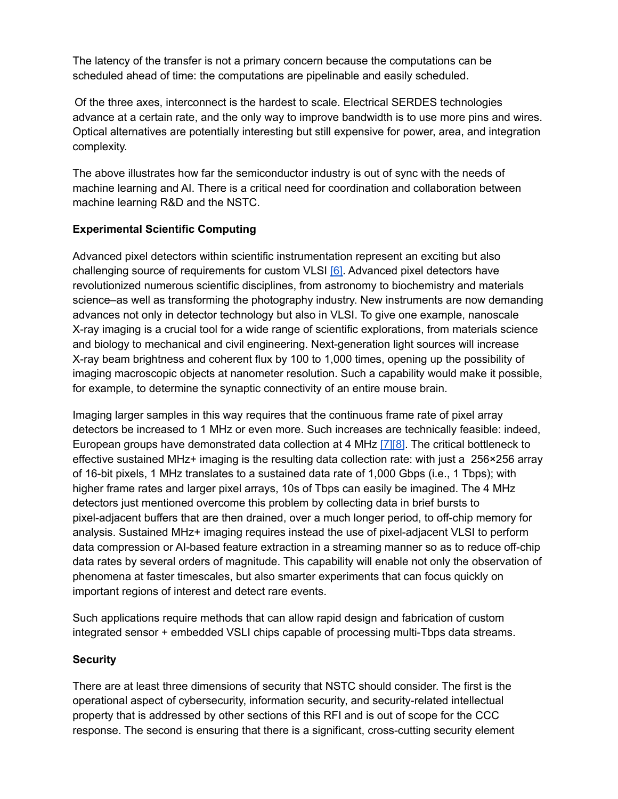The latency of the transfer is not a primary concern because the computations can be scheduled ahead of time: the computations are pipelinable and easily scheduled.

Of the three axes, interconnect is the hardest to scale. Electrical SERDES technologies advance at a certain rate, and the only way to improve bandwidth is to use more pins and wires. Optical alternatives are potentially interesting but still expensive for power, area, and integration complexity.

The above illustrates how far the semiconductor industry is out of sync with the needs of machine learning and AI. There is a critical need for coordination and collaboration between machine learning R&D and the NSTC.

#### **Experimental Scientific Computing**

Advanced pixel detectors within scientific instrumentation represent an exciting but also challenging source of requirements for custom VLSI [\[6\].](https://arxiv.org/abs/1705.10150) Advanced pixel detectors have revolutionized numerous scientific disciplines, from astronomy to biochemistry and materials science–as well as transforming the photography industry. New instruments are now demanding advances not only in detector technology but also in VLSI. To give one example, nanoscale X-ray imaging is a crucial tool for a wide range of scientific explorations, from materials science and biology to mechanical and civil engineering. Next-generation light sources will increase X-ray beam brightness and coherent flux by 100 to 1,000 times, opening up the possibility of imaging macroscopic objects at nanometer resolution. Such a capability would make it possible, for example, to determine the synaptic connectivity of an entire mouse brain.

Imaging larger samples in this way requires that the continuous frame rate of pixel array detectors be increased to 1 MHz or even more. Such increases are technically feasible: indeed, European groups have demonstrated data collection at 4 MHz [\[7\]](https://iopscience.iop.org/article/10.1088/1748-0221/11/01/C01057)[\[8\]](https://ieeexplore.ieee.org/document/6551165). The critical bottleneck to effective sustained MHz+ imaging is the resulting data collection rate: with just a 256×256 array of 16-bit pixels, 1 MHz translates to a sustained data rate of 1,000 Gbps (i.e., 1 Tbps); with higher frame rates and larger pixel arrays, 10s of Tbps can easily be imagined. The 4 MHz detectors just mentioned overcome this problem by collecting data in brief bursts to pixel-adjacent buffers that are then drained, over a much longer period, to off-chip memory for analysis. Sustained MHz+ imaging requires instead the use of pixel-adjacent VLSI to perform data compression or AI-based feature extraction in a streaming manner so as to reduce off-chip data rates by several orders of magnitude. This capability will enable not only the observation of phenomena at faster timescales, but also smarter experiments that can focus quickly on important regions of interest and detect rare events.

Such applications require methods that can allow rapid design and fabrication of custom integrated sensor + embedded VSLI chips capable of processing multi-Tbps data streams.

#### **Security**

There are at least three dimensions of security that NSTC should consider. The first is the operational aspect of cybersecurity, information security, and security-related intellectual property that is addressed by other sections of this RFI and is out of scope for the CCC response. The second is ensuring that there is a significant, cross-cutting security element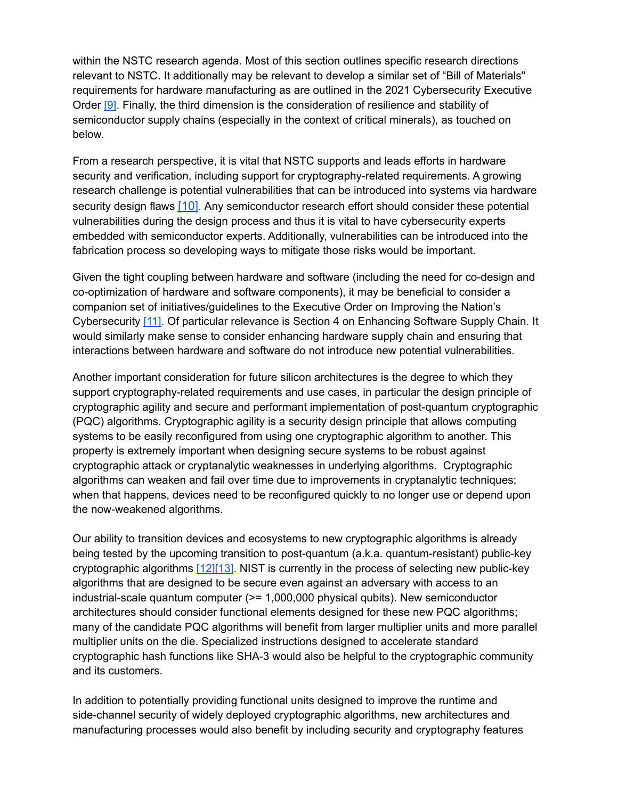within the NSTC research agenda. Most of this section outlines specific research directions relevant to NSTC. It additionally may be relevant to develop a similar set of "Bill of Materials'' requirements for hardware manufacturing as are outlined in the 2021 Cybersecurity Executive Order [\[9\]](https://www.whitehouse.gov/briefing-room/presidential-actions/2021/05/12/executive-order-on-improving-the-nations-cybersecurity/). Finally, the third dimension is the consideration of resilience and stability of semiconductor supply chains (especially in the context of critical minerals), as touched on below.

From a research perspective, it is vital that NSTC supports and leads efforts in hardware security and verification, including support for cryptography-related requirements. A growing research challenge is potential vulnerabilities that can be introduced into systems via hardware security design flaws [\[10\]](https://www.sigarch.org/a-primer-on-the-meltdown-spectre-hardware-security-design-flaws-and-their-important-implications/). Any semiconductor research effort should consider these potential vulnerabilities during the design process and thus it is vital to have cybersecurity experts embedded with semiconductor experts. Additionally, vulnerabilities can be introduced into the fabrication process so developing ways to mitigate those risks would be important.

Given the tight coupling between hardware and software (including the need for co-design and co-optimization of hardware and software components), it may be beneficial to consider a companion set of initiatives/guidelines to the Executive Order on Improving the Nation's Cybersecurity [\[11\].](https://www.whitehouse.gov/briefing-room/presidential-actions/2021/05/12/executive-order-on-improving-the-nations-cybersecurity/) Of particular relevance is Section 4 on Enhancing Software Supply Chain. It would similarly make sense to consider enhancing hardware supply chain and ensuring that interactions between hardware and software do not introduce new potential vulnerabilities.

Another important consideration for future silicon architectures is the degree to which they support cryptography-related requirements and use cases, in particular the design principle of cryptographic agility and secure and performant implementation of post-quantum cryptographic (PQC) algorithms. Cryptographic agility is a security design principle that allows computing systems to be easily reconfigured from using one cryptographic algorithm to another. This property is extremely important when designing secure systems to be robust against cryptographic attack or cryptanalytic weaknesses in underlying algorithms. Cryptographic algorithms can weaken and fail over time due to improvements in cryptanalytic techniques; when that happens, devices need to be reconfigured quickly to no longer use or depend upon the now-weakened algorithms.

Our ability to transition devices and ecosystems to new cryptographic algorithms is already being tested by the upcoming transition to post-quantum (a.k.a. quantum-resistant) public-key cryptographic algorithms [\[12\]](https://cacm.acm.org/magazines/2022/1/257440-the-long-road-ahead-to-transition-to-post-quantum-cryptography/fulltext)[\[13\]](https://cra.org/ccc/wp-content/uploads/sites/2/2020/10/Post-Quantum-Cryptography_-Readiness-Challenges-and-the-Approaching-Storm-1.pdf). NIST is currently in the process of selecting new public-key algorithms that are designed to be secure even against an adversary with access to an industrial-scale quantum computer (>= 1,000,000 physical qubits). New semiconductor architectures should consider functional elements designed for these new PQC algorithms; many of the candidate PQC algorithms will benefit from larger multiplier units and more parallel multiplier units on the die. Specialized instructions designed to accelerate standard cryptographic hash functions like SHA-3 would also be helpful to the cryptographic community and its customers.

In addition to potentially providing functional units designed to improve the runtime and side-channel security of widely deployed cryptographic algorithms, new architectures and manufacturing processes would also benefit by including security and cryptography features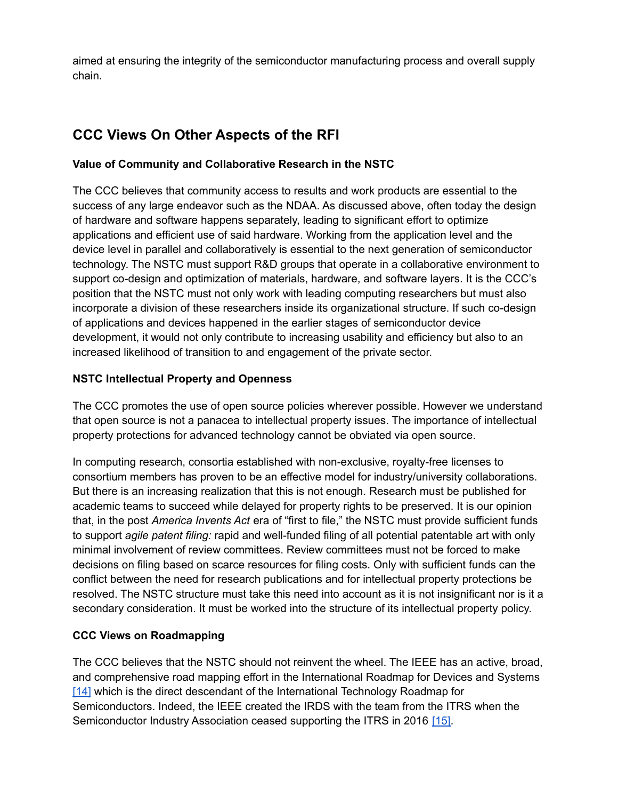aimed at ensuring the integrity of the semiconductor manufacturing process and overall supply chain.

# **CCC Views On Other Aspects of the RFI**

#### **Value of Community and Collaborative Research in the NSTC**

The CCC believes that community access to results and work products are essential to the success of any large endeavor such as the NDAA. As discussed above, often today the design of hardware and software happens separately, leading to significant effort to optimize applications and efficient use of said hardware. Working from the application level and the device level in parallel and collaboratively is essential to the next generation of semiconductor technology. The NSTC must support R&D groups that operate in a collaborative environment to support co-design and optimization of materials, hardware, and software layers. It is the CCC's position that the NSTC must not only work with leading computing researchers but must also incorporate a division of these researchers inside its organizational structure. If such co-design of applications and devices happened in the earlier stages of semiconductor device development, it would not only contribute to increasing usability and efficiency but also to an increased likelihood of transition to and engagement of the private sector.

### **NSTC Intellectual Property and Openness**

The CCC promotes the use of open source policies wherever possible. However we understand that open source is not a panacea to intellectual property issues. The importance of intellectual property protections for advanced technology cannot be obviated via open source.

In computing research, consortia established with non-exclusive, royalty-free licenses to consortium members has proven to be an effective model for industry/university collaborations. But there is an increasing realization that this is not enough. Research must be published for academic teams to succeed while delayed for property rights to be preserved. It is our opinion that, in the post *America Invents Act* era of "first to file," the NSTC must provide sufficient funds to support *agile patent filing:* rapid and well-funded filing of all potential patentable art with only minimal involvement of review committees. Review committees must not be forced to make decisions on filing based on scarce resources for filing costs. Only with sufficient funds can the conflict between the need for research publications and for intellectual property protections be resolved. The NSTC structure must take this need into account as it is not insignificant nor is it a secondary consideration. It must be worked into the structure of its intellectual property policy.

### **CCC Views on Roadmapping**

The CCC believes that the NSTC should not reinvent the wheel. The IEEE has an active, broad, and comprehensive road mapping effort in the International Roadmap for Devices and Systems [\[14\]](https://irds.ieee.org/) which is the direct descendant of the International Technology Roadmap for Semiconductors. Indeed, the IEEE created the IRDS with the team from the ITRS when the Semiconductor Industry Association ceased supporting the ITRS in 2016 [\[15\].](https://irds.ieee.org/images/files/pdf/2017/2017IRDS_ES.pdf)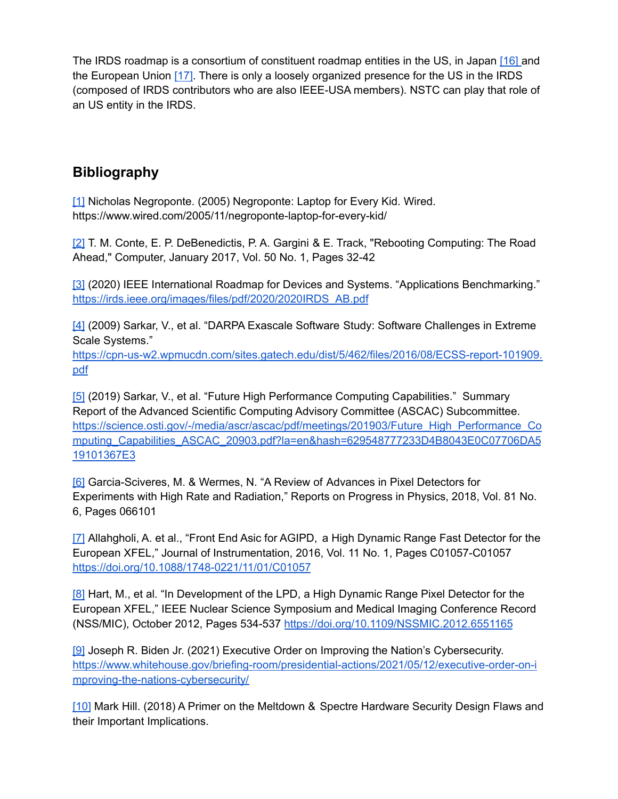The IRDS roadmap is a consortium of constituent roadmap entities in the US, in Japan [\[16\]](https://www.sdrj.jp) and the European Union [\[17\]](https://www.sinano.eu). There is only a loosely organized presence for the US in the IRDS (composed of IRDS contributors who are also IEEE-USA members). NSTC can play that role of an US entity in the IRDS.

## **Bibliography**

[\[1\]](https://www.wired.com/2005/11/negroponte-laptop-for-every-kid/) Nicholas Negroponte. (2005) Negroponte: Laptop for Every Kid. Wired. https://www.wired.com/2005/11/negroponte-laptop-for-every-kid/

[\[2\]](https://ieeexplore.ieee.org/abstract/document/7807179) T. M. Conte, E. P. DeBenedictis, P. A. Gargini & E. Track, "Rebooting Computing: The Road Ahead," Computer, January 2017, Vol. 50 No. 1, Pages 32-42

[\[3\]](https://irds.ieee.org/images/files/pdf/2020/2020IRDS_AB.pdf) (2020) IEEE International Roadmap for Devices and Systems. "Applications Benchmarking." [https://irds.ieee.org/images/files/pdf/2020/2020IRDS\\_AB.pdf](https://irds.ieee.org/images/files/pdf/2020/2020IRDS_AB.pdf)

[\[4\]](https://cpn-us-w2.wpmucdn.com/sites.gatech.edu/dist/5/462/files/2016/08/ECSS-report-101909.pdf) (2009) Sarkar, V., et al. "DARPA Exascale Software Study: Software Challenges in Extreme Scale Systems."

[https://cpn-us-w2.wpmucdn.com/sites.gatech.edu/dist/5/462/files/2016/08/ECSS-report-101909.](https://cpn-us-w2.wpmucdn.com/sites.gatech.edu/dist/5/462/files/2016/08/ECSS-report-101909.pdf) [pdf](https://cpn-us-w2.wpmucdn.com/sites.gatech.edu/dist/5/462/files/2016/08/ECSS-report-101909.pdf)

[\[5\]](https://science.osti.gov/-/media/ascr/ascac/pdf/meetings/201903/Future_High_Performance_Computing_Capabilities_ASCAC_20903.pdf?la=en&hash=629548777233D4B8043E0C07706DA519101367E3) (2019) Sarkar, V., et al. "Future High Performance Computing Capabilities." Summary Report of the Advanced Scientific Computing Advisory Committee (ASCAC) Subcommittee. [https://science.osti.gov/-/media/ascr/ascac/pdf/meetings/201903/Future\\_High\\_Performance\\_Co](https://science.osti.gov/-/media/ascr/ascac/pdf/meetings/201903/Future_High_Performance_Computing_Capabilities_ASCAC_20903.pdf?la=en&hash=629548777233D4B8043E0C07706DA519101367E3) [mputing\\_Capabilities\\_ASCAC\\_20903.pdf?la=en&hash=629548777233D4B8043E0C07706DA5](https://science.osti.gov/-/media/ascr/ascac/pdf/meetings/201903/Future_High_Performance_Computing_Capabilities_ASCAC_20903.pdf?la=en&hash=629548777233D4B8043E0C07706DA519101367E3) [19101367E3](https://science.osti.gov/-/media/ascr/ascac/pdf/meetings/201903/Future_High_Performance_Computing_Capabilities_ASCAC_20903.pdf?la=en&hash=629548777233D4B8043E0C07706DA519101367E3)

[\[6\]](https://arxiv.org/abs/1705.10150) Garcia-Sciveres, M. & Wermes, N. "A Review of Advances in Pixel Detectors for Experiments with High Rate and Radiation," Reports on Progress in Physics, 2018, Vol. 81 No. 6, Pages 066101

[\[7\]](https://iopscience.iop.org/article/10.1088/1748-0221/11/01/C01057) Allahgholi, A. et al., "Front End Asic for AGIPD, a High Dynamic Range Fast Detector for the European XFEL," Journal of Instrumentation, 2016, Vol. 11 No. 1, Pages C01057-C01057 <https://doi.org/10.1088/1748-0221/11/01/C01057>

[\[8\]](https://ieeexplore.ieee.org/document/6551165) Hart, M., et al. "In Development of the LPD, a High Dynamic Range Pixel Detector for the European XFEL," IEEE Nuclear Science Symposium and Medical Imaging Conference Record (NSS/MIC), October 2012, Pages 534-537 <https://doi.org/10.1109/NSSMIC.2012.6551165>

[\[9\]](https://www.whitehouse.gov/briefing-room/presidential-actions/2021/05/12/executive-order-on-improving-the-nations-cybersecurity/) Joseph R. Biden Jr. (2021) Executive Order on Improving the Nation's Cybersecurity. https://www.whitehouse.gov/briefing-room/presidential-actions/2021/05/12/executive-order-on-i mproving-the-nations-cybersecurity/

[\[10\]](https://www.sigarch.org/a-primer-on-the-meltdown-spectre-hardware-security-design-flaws-and-their-important-implications/) Mark Hill. (2018) A Primer on the Meltdown & Spectre Hardware Security Design Flaws and their Important Implications.